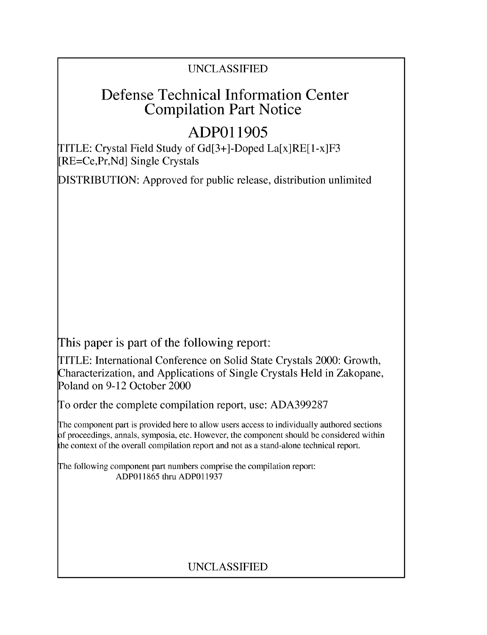## UNCLASSIFIED

# Defense Technical Information Center Compilation Part Notice

# **ADPO 11905**

TITLE: Crystal Field Study of Gd[3+]-Doped La[x]RE[1-x]F3 [RE=Ce,Pr,Nd] Single Crystals

DISTRIBUTION: Approved for public release, distribution unlimited

This paper is part of the following report:

TITLE: International Conference on Solid State Crystals 2000: Growth, Characterization, and Applications of Single Crystals Held in Zakopane, Poland on 9-12 October 2000

To order the complete compilation report, use: ADA399287

The component part is provided here to allow users access to individually authored sections f proceedings, annals, symposia, etc. However, the component should be considered within [he context of the overall compilation report and not as a stand-alone technical report.

The following component part numbers comprise the compilation report: ADP011865 thru ADP011937

# UNCLASSIFIED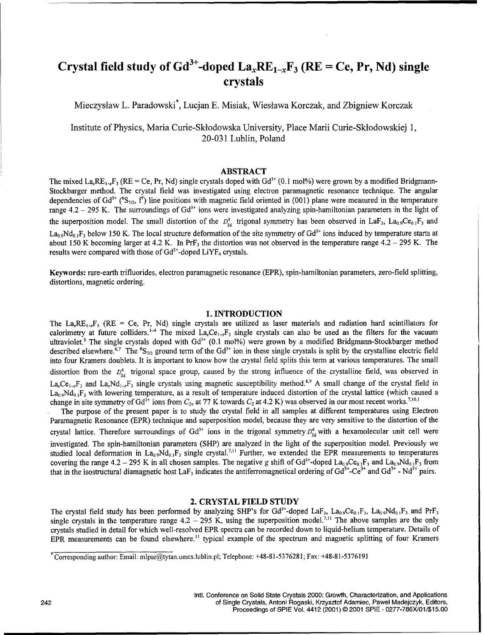# Crystal field study of  $Gd^{3+}$ -doped  $La_xRE_{1-x}F_3$  (RE = Ce, Pr, Nd) single crystals

Mieczyslaw L. Paradowski\*, Lucjan E. Misiak, Wieslawa Korczak, and Zbigniew Korczak

Institute of Physics, Maria Curie-Sklodowska University, Place Marii Curie-Sklodowskiej 1, 20-031 Lublin, Poland

## ABSTRACT

The mixed La<sub>r</sub> $RE_{1-x}F_3$  (RE = Ce, Pr, Nd) single crystals doped with Gd<sup>3+</sup> (0.1 mol%) were grown by a modified Bridgmann-Stockbarger method. The crystal field was investigated using electron paramagnetic resonance technique. The angular dependencies of Gd<sup>3+</sup> (<sup>8</sup>S<sub>7/2</sub>, f<sup>*i*</sup>) line positions with magnetic field oriented in (001) plane were measured in the temperature range  $4.2 - 295$  K. The surroundings of Gd<sup>3+</sup> ions were investigated analyzing spin-hamiltonian parameters in the light of the superposition model. The small distortion of the  $D_{3d}^4$  trigonal symmetry has been observed in LaF<sub>3</sub>, La<sub>0.9</sub>Ce<sub>0.1</sub>F<sub>3</sub> and  $La_{0.9}Nd_{0.1}F_3$  below 150 K. The local structure deformation of the site symmetry of  $Gd^{3+}$  ions induced by temperature starts at about 150 K becoming larger at 4.2 K. In PrF<sub>3</sub> the distortion was not observed in the temperature range  $4.2 - 295$  K. The results were compared with those of  $Gd^{3+}$ -doped  $LiYF_4$  crystals

Keywords: rare-earth trifluorides, electron paramagnetic resonance (EPR), spin-hamiltonian parameters, zero-field splitting, distortions, magnetic ordering.

## 1. **INTRODUCTION**

The La<sub>x</sub>RE<sub>1-x</sub>F<sub>3</sub> (RE = Ce, Pr, Nd) single crystals are utilized as laser materials and radiation hard scintillators for calorimetry at future colliders.<sup>1-4</sup> The mixed La<sub>x</sub>Ce<sub>1-x</sub>F<sub>3</sub> single crystals can also be used as the filters for the vacuum ultraviolet.<sup>5</sup> The single crystals doped with Gd<sup>3+</sup> (0.1 mol%) were grown by a modified Bridgmann-Stockbarger method described elsewhere.<sup>6,7</sup> The  ${}^8S_{7/2}$  ground term of the Gd<sup>3+</sup> ion in these single crystals is split by the crystalline electric field into four Kramers doublets. It is important to know how the crystal field splits this term at various temperatures. The small distortion from the  $D_{3d}^4$  trigonal space group, caused by the strong influence of the crystalline field, was observed in  $La_xCe_{1-x}F_3$  and  $La_xNd_{1-x}F_3$  single crystals using magnetic susceptibility method.<sup>8,9</sup> A small change of the crystal field in  $La_{0.9}Nd_{0.1}F_3$  with lowering temperature, as a result of temperature induced distortion of the crystal lattice (which caused a change in site symmetry of Gd<sup>3+</sup> ions from  $C_2$  at 77 K towards  $C_2$  at 4.2 K) was observed in our most recent works.<sup>7,11</sup>

The purpose of the present paper is to study the crystal field in all samples at different temperatures using Electron Paramagnetic Resonance (EPR) technique and superposition model, because they are very sensitive to the distortion of the crystal lattice. Therefore surroundings of Gd<sup>3+</sup> ions in the trigonal symmetry  $D_{3d}^4$  with a hexamolecular unit cell were investigated. The spin-hamiltonian parameters (SHP) are analyzed in the light of the superposition model. Previously we studied local deformation in  $La_0$ ,  $Nd_{0.1}F_3$  single crystal.<sup>7,11</sup> Further, we extended the EPR measurements to temperatures covering the range 4.2 – 295 K in all chosen samples. The negative g shift of Gd<sup>3+</sup>-doped La<sub>0.9</sub>Ce<sub>0.1</sub>F<sub>3</sub> and La<sub>0.9</sub>Nd<sub>0.1</sub>F<sub>3</sub> from that in the isostructural diamagnetic host LaF<sub>3</sub> indicates the antiferromagnetical ordering of  $Gd^{3+}$ -Ce<sup>3+</sup> and  $Gd^{3+}$ - Nd<sup>3+</sup> pairs.

## 2. CRYSTAL **FIELD STUDY**

The crystal field study has been performed by analyzing SHP's for  $Gd^{3+}$ -doped LaF<sub>3</sub>, La<sub>0.9</sub>Ce<sub>0.1</sub>F<sub>3</sub>, La<sub>0.9</sub>Nd<sub>0.1</sub>F<sub>3</sub> and PrF<sub>3</sub> single crystals in the temperature range  $4.2 - 295$  K, using the superposition model.<sup>7,11</sup> The above samples are the only crystals studied in detail for which well-resolved EPR spectra can be recorded down to liquid-helium temperature. Details of EPR measurements can be found elsewhere.<sup>11</sup> typical example of the spectrum and magnetic splitting of four Kramers

<sup>&</sup>quot;Corresponding author: Email: mlpar@tytan.umcs.lublin.pl; Telephone: +48-81-5376281; Fax: +48-81-5376191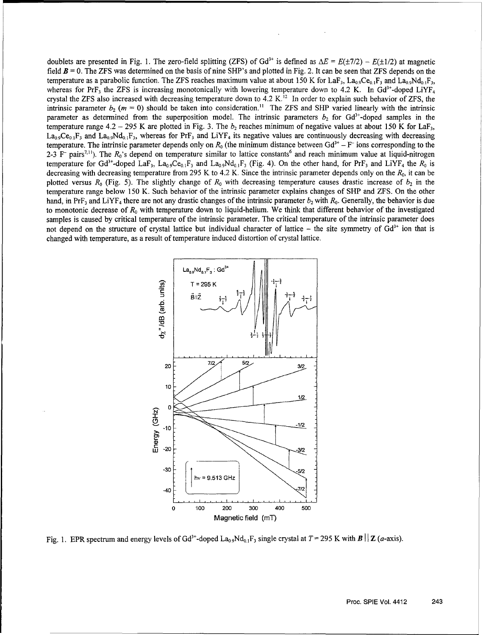doublets are presented in Fig. 1. The zero-field splitting (ZFS) of Gd<sup>3+</sup> is defined as  $\Delta E = E(\pm 7/2) - E(\pm 1/2)$  at magnetic field *B =* 0. The ZFS was determined on the basis of nine SHP's and plotted in Fig. 2. It can be seen that ZFS depends on the temperature as a parabolic function. The ZFS reaches maximum value at about 150 K for LaF<sub>3</sub>, La<sub>0.9</sub>Ce<sub>0.1</sub>F<sub>3</sub> and La<sub>0.9</sub>Nd<sub>0.1</sub>F<sub>3</sub>, whereas for PrF<sub>3</sub> the ZFS is increasing monotonically with lowering temperature down to 4.2 K. In Gd<sup>3+</sup>-doped LiYF<sub>4</sub> crystal the ZFS also increased with decreasing temperature down to  $4.2$  K.<sup>12</sup> In order to explain such behavior of ZFS, the intrinsic parameter  $b_2$  ( $m = 0$ ) should be taken into consideration.<sup>11</sup> The ZFS and SHP varied linearly with the intrinsic parameter as determined from the superposition model. The intrinsic parameters  $b_2$  for Gd<sup>3+</sup>-doped samples in the temperature range 4.2 - 295 K are plotted in Fig. 3. The  $b_2$  reaches minimum of negative values at about 150 K for LaF<sub>3</sub>,  $La_0Ce_{0.1}F_3$  and  $La_0_9Nd_{0.1}F_3$ , whereas for PrF<sub>3</sub> and LiYF<sub>4</sub> its negative values are continuously decreasing with decreasing temperature. The intrinsic parameter depends only on  $R_0$  (the minimum distance between Gd<sup>3+</sup> – F<sup>-</sup> ions corresponding to the 2-3  $F$ <sup>-</sup> pairs<sup>7,11</sup>). The  $R_0$ 's depend on temperature similar to lattice constants<sup>6</sup> and reach minimum value at liquid-nitrogen temperature for Gd<sup>3+</sup>-doped LaF<sub>3</sub>, La<sub>0.9</sub>Ce<sub>0.1</sub>F<sub>3</sub> and La<sub>0.9</sub>Nd<sub>0.1</sub>F<sub>3</sub> (Fig. 4). On the other hand, for PrF<sub>3</sub> and LiYF<sub>4</sub> the  $R_0$  is decreasing with decreasing temperature from 295 K to 4.2 K. Since the intrinsic parameter depends only on the *R0,* it can be plotted versus  $R_0$  (Fig. 5). The slightly change of  $R_0$  with decreasing temperature causes drastic increase of b, in the temperature range below 150 K. Such behavior of the intrinsic parameter explains changes of SHP and ZFS. On the other hand, in PrF<sub>3</sub> and LiYF<sub>4</sub> there are not any drastic changes of the intrinsic parameter  $b_2$  with  $R_0$ . Generally, the behavior is due to monotonic decrease of  $R_0$  with temperature down to liquid-helium. We think that different behavior of the investigated samples is caused by critical temperature of the intrinsic parameter. The critical temperature of the intrinsic parameter does not depend on the structure of crystal lattice but individual character of lattice - the site symmetry of Gd<sup>3+</sup> ion that is changed with temperature, as a result of temperature induced distortion of crystal lattice.



Fig. 1. EPR spectrum and energy levels of Gd<sup>3+</sup>-doped La<sub>0.9</sub>Nd<sub>0.1</sub>F<sub>3</sub> single crystal at T = 295 K with **B** | | **Z** (a-axis)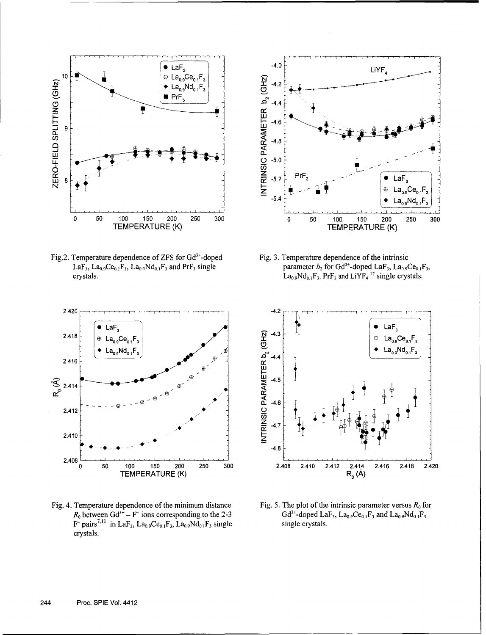

Fig.2. Temperature dependence of ZFS for Gd<sup>3+</sup>-doped LaF<sub>3</sub>, La<sub>0.9</sub>Ce<sub>0.1</sub>F<sub>3</sub>, La<sub>0.9</sub>Nd<sub>0.1</sub>F<sub>3</sub> and PrF<sub>3</sub> single crystals.



Fig. 3. Temperature dependence of the intrinsic parameter  $b_2$  for Gd<sup>3+</sup>-doped LaF<sub>3</sub>, La<sub>09</sub>Ce<sub>01</sub>F<sub>3</sub>,  $La_{0.9}Nd_{0.1}F_3$ ,  $PrF_3$  and  $LiYF_4$ <sup>12</sup> single crystals.



Fig. 5. The plot of the intrinsic parameter versus  $R_0$  for  $Gd^{3+}$ -doped LaF<sub>3</sub>, La<sub>0.9</sub>Ce<sub>0.1</sub>F<sub>3</sub> and La<sub>0.9</sub>Nd<sub>0.1</sub>F<sub>3</sub> single crystals.



Fig. 4. Temperature dependence of the minimum distance  $R_0$  between Gd<sup>3+</sup> – F<sup>-</sup> ions corresponding to the 2-3 F pairs<sup>7,11</sup> in LaF<sub>3</sub>, La<sub>0.9</sub>Ce<sub>0.1</sub>F<sub>3</sub>, La<sub>0.9</sub>Nd<sub>0.1</sub>F<sub>3</sub> single crystals.